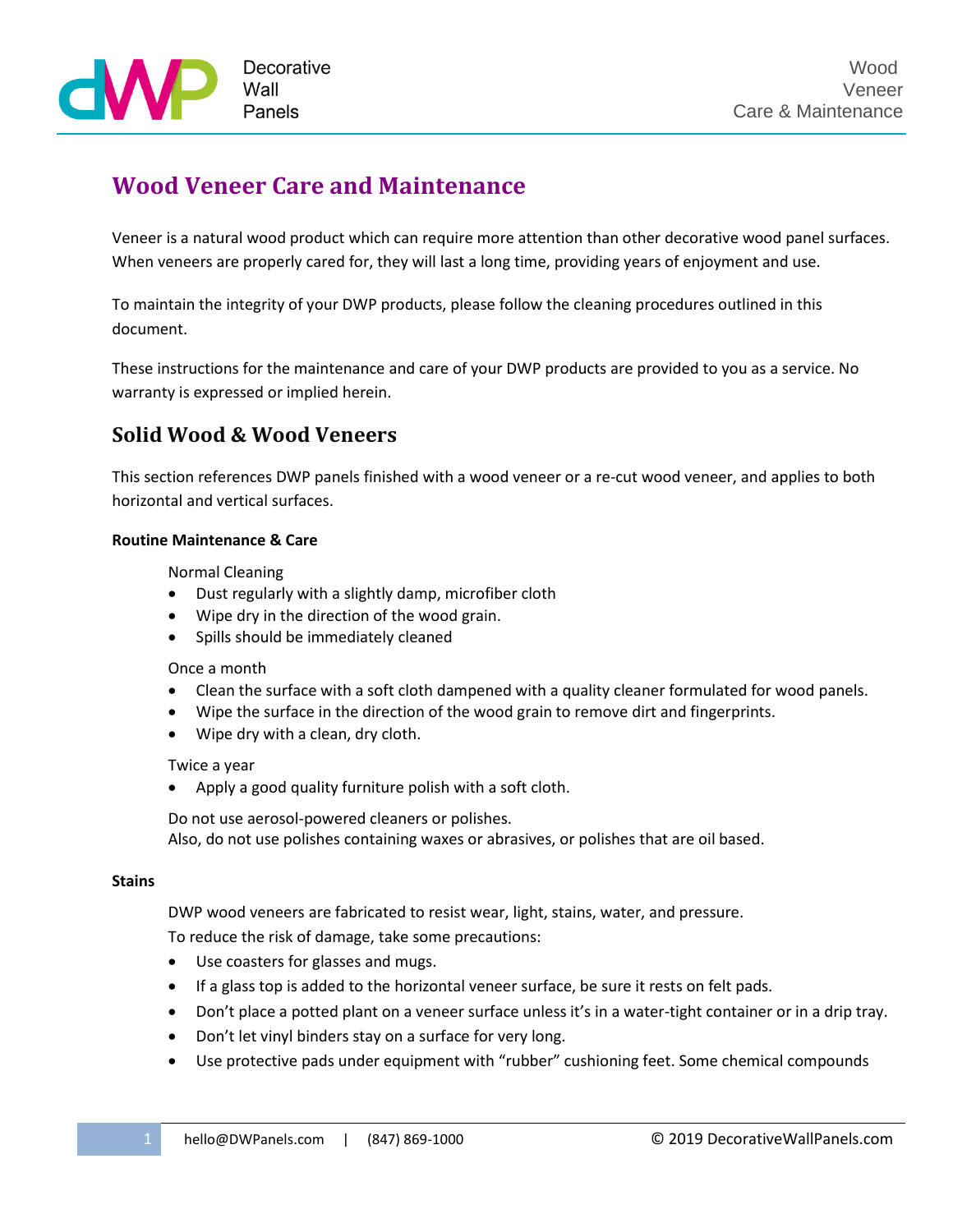

# **Wood Veneer Care and Maintenance**

Veneer is a natural wood product which can require more attention than other decorative wood panel surfaces. When veneers are properly cared for, they will last a long time, providing years of enjoyment and use.

To maintain the integrity of your DWP products, please follow the cleaning procedures outlined in this document.

These instructions for the maintenance and care of your DWP products are provided to you as a service. No warranty is expressed or implied herein.

## **Solid Wood & Wood Veneers**

This section references DWP panels finished with a wood veneer or a re-cut wood veneer, and applies to both horizontal and vertical surfaces.

## **Routine Maintenance & Care**

Normal Cleaning

- Dust regularly with a slightly damp, microfiber cloth
- Wipe dry in the direction of the wood grain.
- Spills should be immediately cleaned

Once a month

- Clean the surface with a soft cloth dampened with a quality cleaner formulated for wood panels.
- Wipe the surface in the direction of the wood grain to remove dirt and fingerprints.
- Wipe dry with a clean, dry cloth.

Twice a year

Apply a good quality furniture polish with a soft cloth.

Do not use aerosol-powered cleaners or polishes. Also, do not use polishes containing waxes or abrasives, or polishes that are oil based.

#### **Stains**

DWP wood veneers are fabricated to resist wear, light, stains, water, and pressure. To reduce the risk of damage, take some precautions:

- Use coasters for glasses and mugs.
- If a glass top is added to the horizontal veneer surface, be sure it rests on felt pads.
- Don't place a potted plant on a veneer surface unless it's in a water-tight container or in a drip tray.
- Don't let vinyl binders stay on a surface for very long.
- Use protective pads under equipment with "rubber" cushioning feet. Some chemical compounds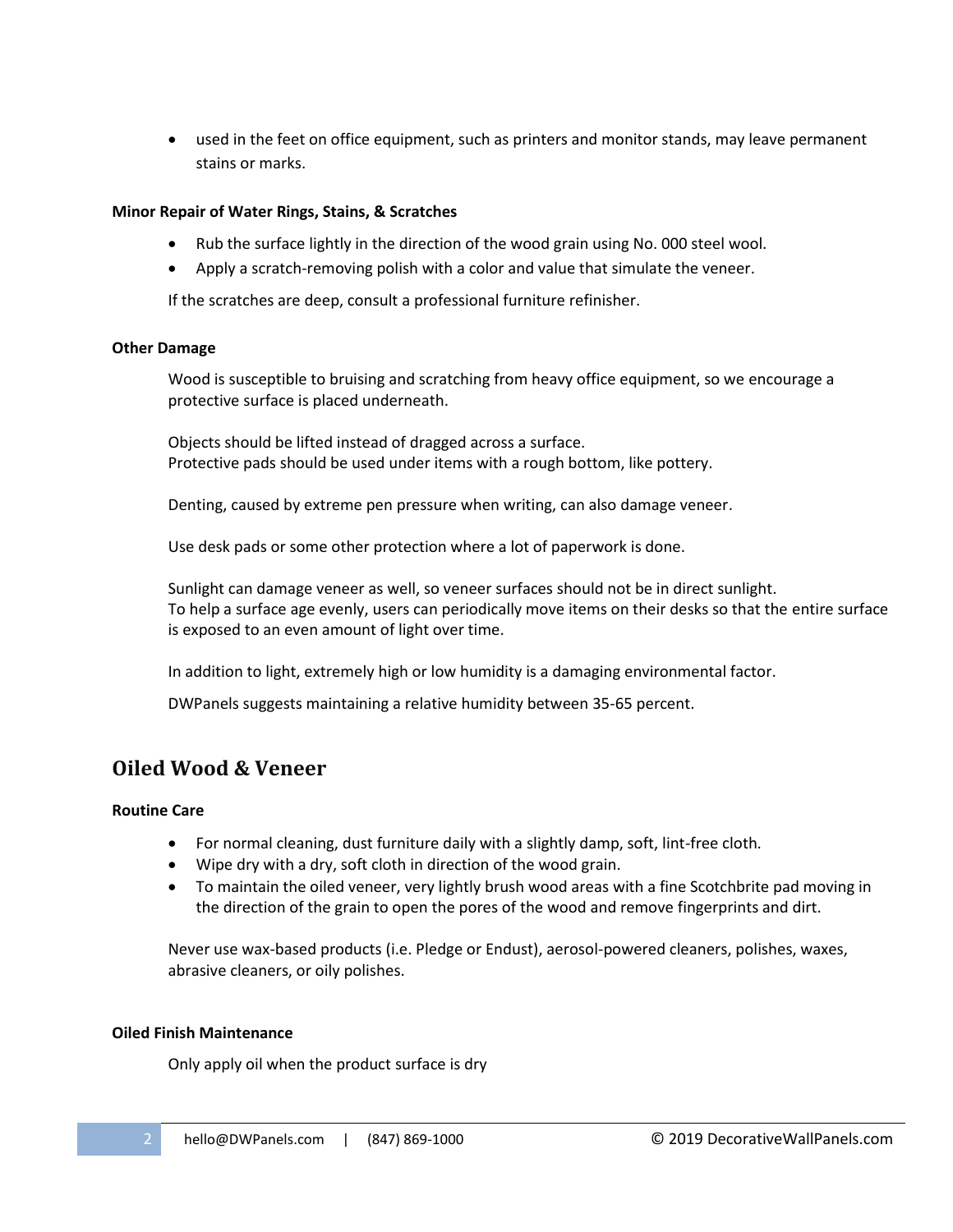used in the feet on office equipment, such as printers and monitor stands, may leave permanent stains or marks.

#### **Minor Repair of Water Rings, Stains, & Scratches**

- Rub the surface lightly in the direction of the wood grain using No. 000 steel wool.
- Apply a scratch-removing polish with a color and value that simulate the veneer.

If the scratches are deep, consult a professional furniture refinisher.

#### **Other Damage**

Wood is susceptible to bruising and scratching from heavy office equipment, so we encourage a protective surface is placed underneath.

Objects should be lifted instead of dragged across a surface. Protective pads should be used under items with a rough bottom, like pottery.

Denting, caused by extreme pen pressure when writing, can also damage veneer.

Use desk pads or some other protection where a lot of paperwork is done.

Sunlight can damage veneer as well, so veneer surfaces should not be in direct sunlight. To help a surface age evenly, users can periodically move items on their desks so that the entire surface is exposed to an even amount of light over time.

In addition to light, extremely high or low humidity is a damaging environmental factor.

DWPanels suggests maintaining a relative humidity between 35-65 percent.

## **Oiled Wood & Veneer**

#### **Routine Care**

- For normal cleaning, dust furniture daily with a slightly damp, soft, lint-free cloth.
- Wipe dry with a dry, soft cloth in direction of the wood grain.
- To maintain the oiled veneer, very lightly brush wood areas with a fine Scotchbrite pad moving in the direction of the grain to open the pores of the wood and remove fingerprints and dirt.

Never use wax-based products (i.e. Pledge or Endust), aerosol-powered cleaners, polishes, waxes, abrasive cleaners, or oily polishes.

#### **Oiled Finish Maintenance**

Only apply oil when the product surface is dry